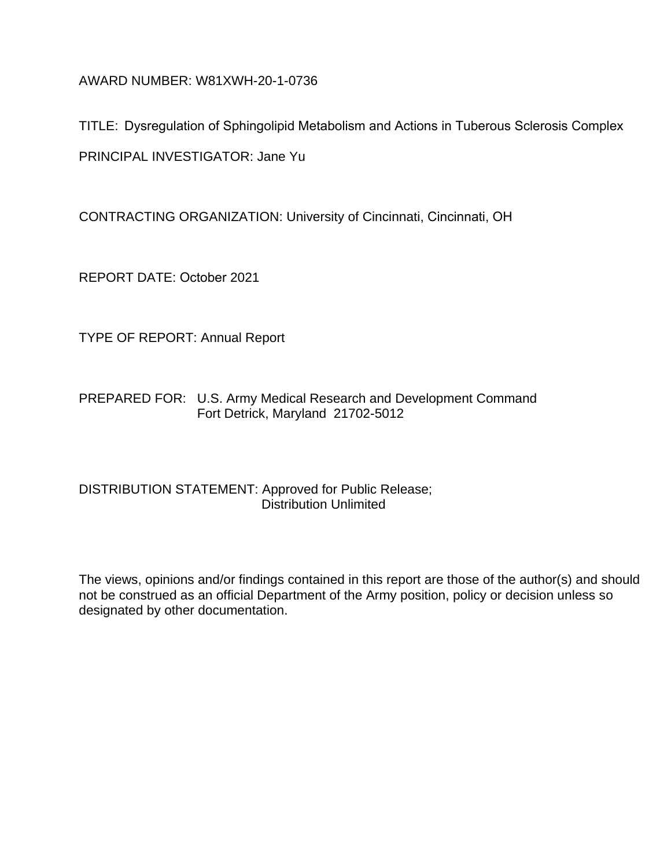AWARD NUMBER: W81XWH-20-1-0736

TITLE: Dysregulation of Sphingolipid Metabolism and Actions in Tuberous Sclerosis Complex PRINCIPAL INVESTIGATOR: Jane Yu

CONTRACTING ORGANIZATION: University of Cincinnati, Cincinnati, OH

REPORT DATE: October 2021

TYPE OF REPORT: Annual Report

PREPARED FOR: U.S. Army Medical Research and Development Command Fort Detrick, Maryland 21702-5012

## DISTRIBUTION STATEMENT: Approved for Public Release; Distribution Unlimited

The views, opinions and/or findings contained in this report are those of the author(s) and should not be construed as an official Department of the Army position, policy or decision unless so designated by other documentation.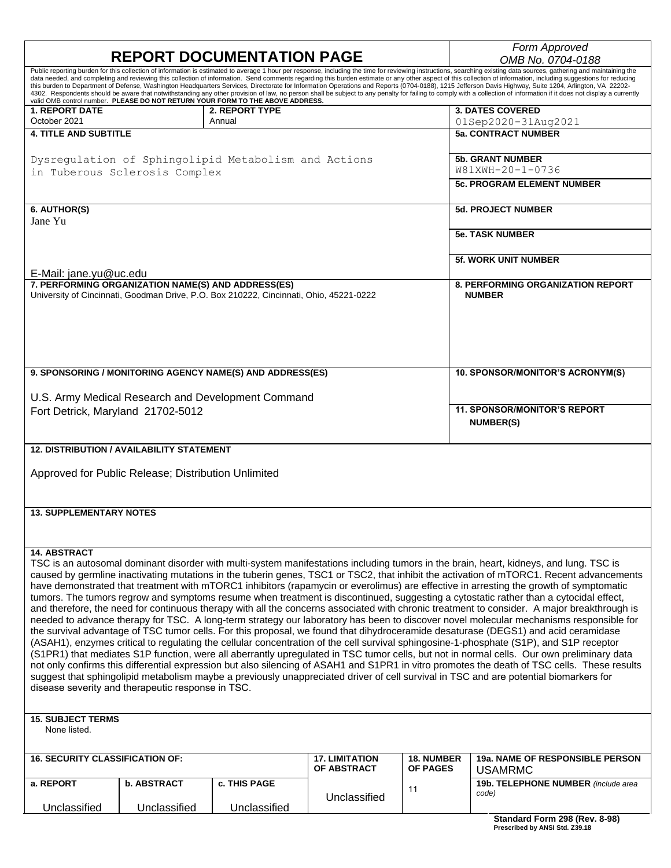|                                                                                       |                                                     | <b>REPORT DOCUMENTATION PAGE</b>                                                       |                       |                             | Form Approved<br>OMB No. 0704-0188                                                                                                                                                                                                                                                                                                                                                                                                                                                                                                                                                                                                                                                                                                                                                                                                                                            |  |  |
|---------------------------------------------------------------------------------------|-----------------------------------------------------|----------------------------------------------------------------------------------------|-----------------------|-----------------------------|-------------------------------------------------------------------------------------------------------------------------------------------------------------------------------------------------------------------------------------------------------------------------------------------------------------------------------------------------------------------------------------------------------------------------------------------------------------------------------------------------------------------------------------------------------------------------------------------------------------------------------------------------------------------------------------------------------------------------------------------------------------------------------------------------------------------------------------------------------------------------------|--|--|
|                                                                                       |                                                     | valid OMB control number. PLEASE DO NOT RETURN YOUR FORM TO THE ABOVE ADDRESS.         |                       |                             | Public reporting burden for this collection of information is estimated to average 1 hour per response, including the time for reviewing instructions, searching existing data sources, gathering and maintaining the<br>data needed, and completing and reviewing this collection of information. Send comments regarding this burden estimate or any other aspect of this collection of information, including suggestions for reducing<br>this burden to Department of Defense, Washington Headquarters Services, Directorate for Information Operations and Reports (0704-0188), 1215 Jefferson Davis Highway, Suite 1204, Arlington, VA 22202-<br>4302. Respondents should be aware that notwithstanding any other provision of law, no person shall be subject to any penalty for failing to comply with a collection of information if it does not display a currently |  |  |
| <b>1. REPORT DATE</b>                                                                 |                                                     | 2. REPORT TYPE                                                                         |                       |                             | <b>3. DATES COVERED</b>                                                                                                                                                                                                                                                                                                                                                                                                                                                                                                                                                                                                                                                                                                                                                                                                                                                       |  |  |
| October 2021<br><b>4. TITLE AND SUBTITLE</b>                                          |                                                     | Annual                                                                                 |                       |                             | 01Sep2020-31Aug2021<br><b>5a. CONTRACT NUMBER</b>                                                                                                                                                                                                                                                                                                                                                                                                                                                                                                                                                                                                                                                                                                                                                                                                                             |  |  |
|                                                                                       |                                                     |                                                                                        |                       |                             |                                                                                                                                                                                                                                                                                                                                                                                                                                                                                                                                                                                                                                                                                                                                                                                                                                                                               |  |  |
| Dysregulation of Sphingolipid Metabolism and Actions<br>in Tuberous Sclerosis Complex |                                                     |                                                                                        |                       |                             | <b>5b. GRANT NUMBER</b><br>W81XWH-20-1-0736                                                                                                                                                                                                                                                                                                                                                                                                                                                                                                                                                                                                                                                                                                                                                                                                                                   |  |  |
|                                                                                       |                                                     |                                                                                        |                       |                             | <b>5c. PROGRAM ELEMENT NUMBER</b>                                                                                                                                                                                                                                                                                                                                                                                                                                                                                                                                                                                                                                                                                                                                                                                                                                             |  |  |
|                                                                                       |                                                     |                                                                                        |                       |                             |                                                                                                                                                                                                                                                                                                                                                                                                                                                                                                                                                                                                                                                                                                                                                                                                                                                                               |  |  |
| 6. AUTHOR(S)                                                                          |                                                     |                                                                                        |                       |                             | <b>5d. PROJECT NUMBER</b>                                                                                                                                                                                                                                                                                                                                                                                                                                                                                                                                                                                                                                                                                                                                                                                                                                                     |  |  |
| Jane Yu                                                                               |                                                     |                                                                                        |                       |                             | <b>5e. TASK NUMBER</b>                                                                                                                                                                                                                                                                                                                                                                                                                                                                                                                                                                                                                                                                                                                                                                                                                                                        |  |  |
|                                                                                       |                                                     |                                                                                        |                       |                             |                                                                                                                                                                                                                                                                                                                                                                                                                                                                                                                                                                                                                                                                                                                                                                                                                                                                               |  |  |
|                                                                                       |                                                     |                                                                                        |                       | <b>5f. WORK UNIT NUMBER</b> |                                                                                                                                                                                                                                                                                                                                                                                                                                                                                                                                                                                                                                                                                                                                                                                                                                                                               |  |  |
| E-Mail: jane.yu@uc.edu                                                                | 7. PERFORMING ORGANIZATION NAME(S) AND ADDRESS(ES)  |                                                                                        |                       |                             | <b>8. PERFORMING ORGANIZATION REPORT</b>                                                                                                                                                                                                                                                                                                                                                                                                                                                                                                                                                                                                                                                                                                                                                                                                                                      |  |  |
|                                                                                       |                                                     | University of Cincinnati, Goodman Drive, P.O. Box 210222, Cincinnati, Ohio, 45221-0222 |                       |                             | <b>NUMBER</b>                                                                                                                                                                                                                                                                                                                                                                                                                                                                                                                                                                                                                                                                                                                                                                                                                                                                 |  |  |
|                                                                                       |                                                     |                                                                                        |                       |                             |                                                                                                                                                                                                                                                                                                                                                                                                                                                                                                                                                                                                                                                                                                                                                                                                                                                                               |  |  |
|                                                                                       |                                                     |                                                                                        |                       |                             |                                                                                                                                                                                                                                                                                                                                                                                                                                                                                                                                                                                                                                                                                                                                                                                                                                                                               |  |  |
|                                                                                       |                                                     |                                                                                        |                       |                             |                                                                                                                                                                                                                                                                                                                                                                                                                                                                                                                                                                                                                                                                                                                                                                                                                                                                               |  |  |
|                                                                                       |                                                     |                                                                                        |                       |                             |                                                                                                                                                                                                                                                                                                                                                                                                                                                                                                                                                                                                                                                                                                                                                                                                                                                                               |  |  |
|                                                                                       |                                                     | 9. SPONSORING / MONITORING AGENCY NAME(S) AND ADDRESS(ES)                              |                       |                             | 10. SPONSOR/MONITOR'S ACRONYM(S)                                                                                                                                                                                                                                                                                                                                                                                                                                                                                                                                                                                                                                                                                                                                                                                                                                              |  |  |
|                                                                                       |                                                     | U.S. Army Medical Research and Development Command                                     |                       |                             |                                                                                                                                                                                                                                                                                                                                                                                                                                                                                                                                                                                                                                                                                                                                                                                                                                                                               |  |  |
| Fort Detrick, Maryland 21702-5012                                                     |                                                     |                                                                                        |                       |                             | <b>11. SPONSOR/MONITOR'S REPORT</b>                                                                                                                                                                                                                                                                                                                                                                                                                                                                                                                                                                                                                                                                                                                                                                                                                                           |  |  |
|                                                                                       |                                                     |                                                                                        |                       |                             | <b>NUMBER(S)</b>                                                                                                                                                                                                                                                                                                                                                                                                                                                                                                                                                                                                                                                                                                                                                                                                                                                              |  |  |
|                                                                                       |                                                     |                                                                                        |                       |                             |                                                                                                                                                                                                                                                                                                                                                                                                                                                                                                                                                                                                                                                                                                                                                                                                                                                                               |  |  |
|                                                                                       | <b>12. DISTRIBUTION / AVAILABILITY STATEMENT</b>    |                                                                                        |                       |                             |                                                                                                                                                                                                                                                                                                                                                                                                                                                                                                                                                                                                                                                                                                                                                                                                                                                                               |  |  |
|                                                                                       | Approved for Public Release; Distribution Unlimited |                                                                                        |                       |                             |                                                                                                                                                                                                                                                                                                                                                                                                                                                                                                                                                                                                                                                                                                                                                                                                                                                                               |  |  |
|                                                                                       |                                                     |                                                                                        |                       |                             |                                                                                                                                                                                                                                                                                                                                                                                                                                                                                                                                                                                                                                                                                                                                                                                                                                                                               |  |  |
| <b>13. SUPPLEMENTARY NOTES</b>                                                        |                                                     |                                                                                        |                       |                             |                                                                                                                                                                                                                                                                                                                                                                                                                                                                                                                                                                                                                                                                                                                                                                                                                                                                               |  |  |
|                                                                                       |                                                     |                                                                                        |                       |                             |                                                                                                                                                                                                                                                                                                                                                                                                                                                                                                                                                                                                                                                                                                                                                                                                                                                                               |  |  |
|                                                                                       |                                                     |                                                                                        |                       |                             |                                                                                                                                                                                                                                                                                                                                                                                                                                                                                                                                                                                                                                                                                                                                                                                                                                                                               |  |  |
| <b>14. ABSTRACT</b>                                                                   |                                                     |                                                                                        |                       |                             |                                                                                                                                                                                                                                                                                                                                                                                                                                                                                                                                                                                                                                                                                                                                                                                                                                                                               |  |  |
|                                                                                       |                                                     |                                                                                        |                       |                             | TSC is an autosomal dominant disorder with multi-system manifestations including tumors in the brain, heart, kidneys, and lung. TSC is<br>caused by germline inactivating mutations in the tuberin genes, TSC1 or TSC2, that inhibit the activation of mTORC1. Recent advancements                                                                                                                                                                                                                                                                                                                                                                                                                                                                                                                                                                                            |  |  |
|                                                                                       |                                                     |                                                                                        |                       |                             | have demonstrated that treatment with mTORC1 inhibitors (rapamycin or everolimus) are effective in arresting the growth of symptomatic                                                                                                                                                                                                                                                                                                                                                                                                                                                                                                                                                                                                                                                                                                                                        |  |  |
|                                                                                       |                                                     |                                                                                        |                       |                             | tumors. The tumors regrow and symptoms resume when treatment is discontinued, suggesting a cytostatic rather than a cytocidal effect,                                                                                                                                                                                                                                                                                                                                                                                                                                                                                                                                                                                                                                                                                                                                         |  |  |
|                                                                                       |                                                     |                                                                                        |                       |                             | and therefore, the need for continuous therapy with all the concerns associated with chronic treatment to consider. A major breakthrough is<br>needed to advance therapy for TSC. A long-term strategy our laboratory has been to discover novel molecular mechanisms responsible for                                                                                                                                                                                                                                                                                                                                                                                                                                                                                                                                                                                         |  |  |
|                                                                                       |                                                     |                                                                                        |                       |                             | the survival advantage of TSC tumor cells. For this proposal, we found that dihydroceramide desaturase (DEGS1) and acid ceramidase                                                                                                                                                                                                                                                                                                                                                                                                                                                                                                                                                                                                                                                                                                                                            |  |  |
|                                                                                       |                                                     |                                                                                        |                       |                             | (ASAH1), enzymes critical to regulating the cellular concentration of the cell survival sphingosine-1-phosphate (S1P), and S1P receptor                                                                                                                                                                                                                                                                                                                                                                                                                                                                                                                                                                                                                                                                                                                                       |  |  |
|                                                                                       |                                                     |                                                                                        |                       |                             | (S1PR1) that mediates S1P function, were all aberrantly upregulated in TSC tumor cells, but not in normal cells. Our own preliminary data<br>not only confirms this differential expression but also silencing of ASAH1 and S1PR1 in vitro promotes the death of TSC cells. These results                                                                                                                                                                                                                                                                                                                                                                                                                                                                                                                                                                                     |  |  |
|                                                                                       |                                                     |                                                                                        |                       |                             | suggest that sphingolipid metabolism maybe a previously unappreciated driver of cell survival in TSC and are potential biomarkers for                                                                                                                                                                                                                                                                                                                                                                                                                                                                                                                                                                                                                                                                                                                                         |  |  |
|                                                                                       | disease severity and therapeutic response in TSC.   |                                                                                        |                       |                             |                                                                                                                                                                                                                                                                                                                                                                                                                                                                                                                                                                                                                                                                                                                                                                                                                                                                               |  |  |
|                                                                                       |                                                     |                                                                                        |                       |                             |                                                                                                                                                                                                                                                                                                                                                                                                                                                                                                                                                                                                                                                                                                                                                                                                                                                                               |  |  |
| <b>15. SUBJECT TERMS</b><br>None listed.                                              |                                                     |                                                                                        |                       |                             |                                                                                                                                                                                                                                                                                                                                                                                                                                                                                                                                                                                                                                                                                                                                                                                                                                                                               |  |  |
|                                                                                       |                                                     |                                                                                        |                       |                             |                                                                                                                                                                                                                                                                                                                                                                                                                                                                                                                                                                                                                                                                                                                                                                                                                                                                               |  |  |
| <b>16. SECURITY CLASSIFICATION OF:</b>                                                |                                                     |                                                                                        | <b>17. LIMITATION</b> | <b>18. NUMBER</b>           | <b>19a. NAME OF RESPONSIBLE PERSON</b>                                                                                                                                                                                                                                                                                                                                                                                                                                                                                                                                                                                                                                                                                                                                                                                                                                        |  |  |
|                                                                                       |                                                     |                                                                                        | OF ABSTRACT           | <b>OF PAGES</b>             | <b>USAMRMC</b>                                                                                                                                                                                                                                                                                                                                                                                                                                                                                                                                                                                                                                                                                                                                                                                                                                                                |  |  |
| a. REPORT                                                                             | <b>b. ABSTRACT</b>                                  | <b>c. THIS PAGE</b>                                                                    |                       | 11                          | 19b. TELEPHONE NUMBER (include area<br>code)                                                                                                                                                                                                                                                                                                                                                                                                                                                                                                                                                                                                                                                                                                                                                                                                                                  |  |  |
| Unclassified                                                                          | Unclassified                                        | Unclassified                                                                           | Unclassified          |                             |                                                                                                                                                                                                                                                                                                                                                                                                                                                                                                                                                                                                                                                                                                                                                                                                                                                                               |  |  |
|                                                                                       |                                                     |                                                                                        |                       |                             | Standard Form 298 (Rev. 8-98)<br>Prescribed by ANSI Std. Z39.18                                                                                                                                                                                                                                                                                                                                                                                                                                                                                                                                                                                                                                                                                                                                                                                                               |  |  |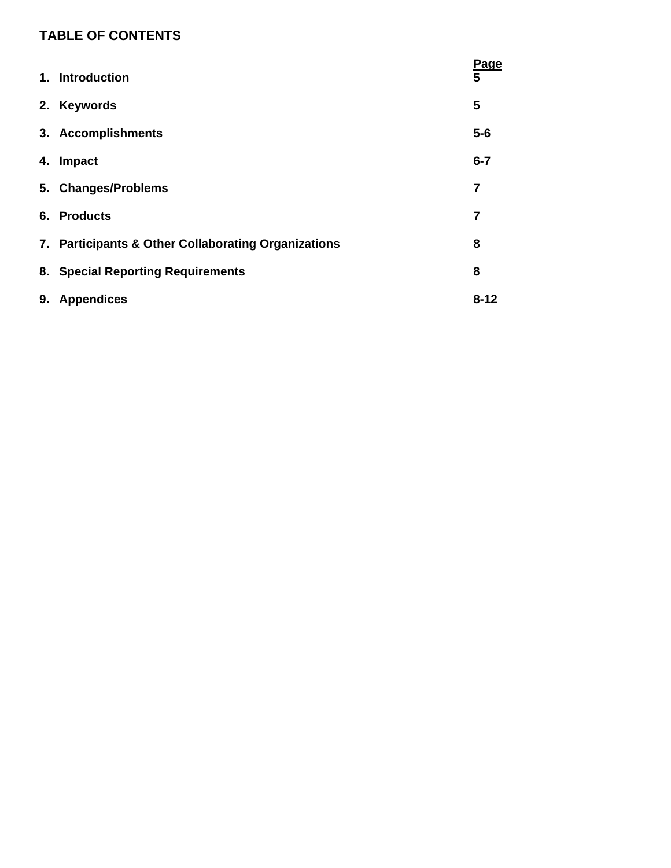# **TABLE OF CONTENTS**

|    | 1. Introduction                                     | <b>Page</b><br>5 |
|----|-----------------------------------------------------|------------------|
|    | 2. Keywords                                         | 5                |
|    | 3. Accomplishments                                  | $5-6$            |
| 4. | Impact                                              | $6 - 7$          |
|    | 5. Changes/Problems                                 | 7                |
| 6. | <b>Products</b>                                     | 7                |
|    | 7. Participants & Other Collaborating Organizations | 8                |
|    | 8. Special Reporting Requirements                   | 8                |
| 9. | <b>Appendices</b>                                   | $8 - 12$         |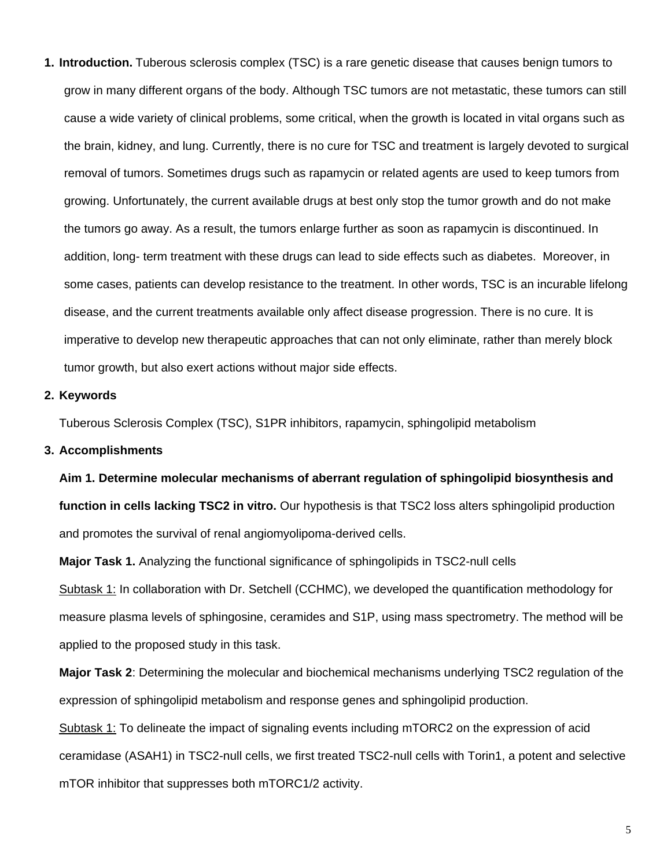**1. Introduction.** Tuberous sclerosis complex (TSC) is a rare genetic disease that causes benign tumors to grow in many different organs of the body. Although TSC tumors are not metastatic, these tumors can still cause a wide variety of clinical problems, some critical, when the growth is located in vital organs such as the brain, kidney, and lung. Currently, there is no cure for TSC and treatment is largely devoted to surgical removal of tumors. Sometimes drugs such as rapamycin or related agents are used to keep tumors from growing. Unfortunately, the current available drugs at best only stop the tumor growth and do not make the tumors go away. As a result, the tumors enlarge further as soon as rapamycin is discontinued. In addition, long- term treatment with these drugs can lead to side effects such as diabetes. Moreover, in some cases, patients can develop resistance to the treatment. In other words, TSC is an incurable lifelong disease, and the current treatments available only affect disease progression. There is no cure. It is imperative to develop new therapeutic approaches that can not only eliminate, rather than merely block tumor growth, but also exert actions without major side effects.

#### **2. Keywords**

Tuberous Sclerosis Complex (TSC), S1PR inhibitors, rapamycin, sphingolipid metabolism

#### **3. Accomplishments**

**Aim 1. Determine molecular mechanisms of aberrant regulation of sphingolipid biosynthesis and function in cells lacking TSC2 in vitro.** Our hypothesis is that TSC2 loss alters sphingolipid production and promotes the survival of renal angiomyolipoma-derived cells.

**Major Task 1.** Analyzing the functional significance of sphingolipids in TSC2-null cells Subtask 1: In collaboration with Dr. Setchell (CCHMC), we developed the quantification methodology for measure plasma levels of sphingosine, ceramides and S1P, using mass spectrometry. The method will be applied to the proposed study in this task.

**Major Task 2**: Determining the molecular and biochemical mechanisms underlying TSC2 regulation of the expression of sphingolipid metabolism and response genes and sphingolipid production.

Subtask 1: To delineate the impact of signaling events including mTORC2 on the expression of acid ceramidase (ASAH1) in TSC2-null cells, we first treated TSC2-null cells with Torin1, a potent and selective mTOR inhibitor that suppresses both mTORC1/2 activity.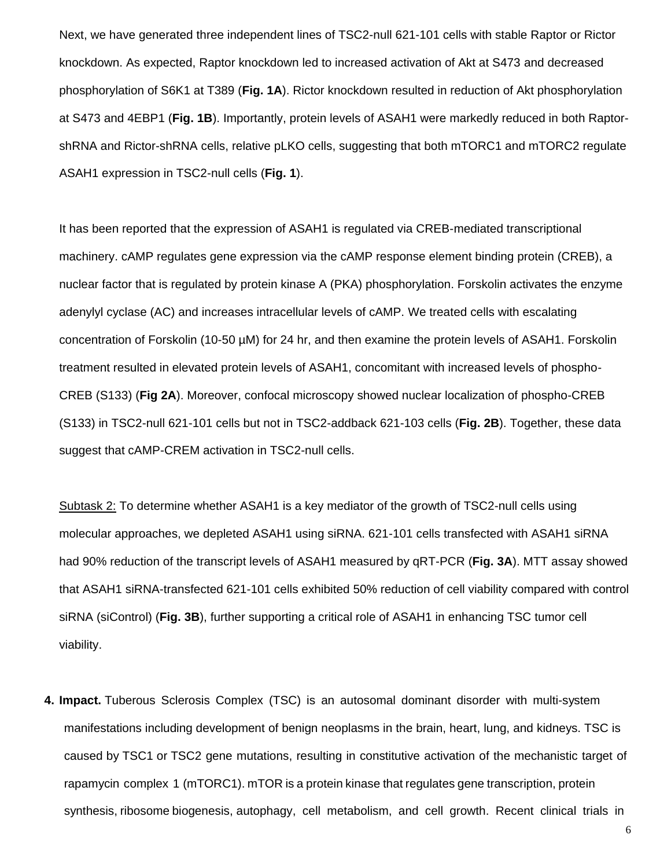Next, we have generated three independent lines of TSC2-null 621-101 cells with stable Raptor or Rictor knockdown. As expected, Raptor knockdown led to increased activation of Akt at S473 and decreased phosphorylation of S6K1 at T389 (**Fig. 1A**). Rictor knockdown resulted in reduction of Akt phosphorylation at S473 and 4EBP1 (**Fig. 1B**). Importantly, protein levels of ASAH1 were markedly reduced in both RaptorshRNA and Rictor-shRNA cells, relative pLKO cells, suggesting that both mTORC1 and mTORC2 regulate ASAH1 expression in TSC2-null cells (**Fig. 1**).

It has been reported that the expression of ASAH1 is regulated via CREB-mediated transcriptional machinery. cAMP regulates gene expression via the cAMP response element binding protein (CREB), a nuclear factor that is regulated by protein kinase A (PKA) phosphorylation. Forskolin activates the enzyme adenylyl cyclase (AC) and increases intracellular levels of cAMP. We treated cells with escalating concentration of Forskolin (10-50 µM) for 24 hr, and then examine the protein levels of ASAH1. Forskolin treatment resulted in elevated protein levels of ASAH1, concomitant with increased levels of phospho-CREB (S133) (**Fig 2A**). Moreover, confocal microscopy showed nuclear localization of phospho-CREB (S133) in TSC2-null 621-101 cells but not in TSC2-addback 621-103 cells (**Fig. 2B**). Together, these data suggest that cAMP-CREM activation in TSC2-null cells.

Subtask 2: To determine whether ASAH1 is a key mediator of the growth of TSC2-null cells using molecular approaches, we depleted ASAH1 using siRNA. 621-101 cells transfected with ASAH1 siRNA had 90% reduction of the transcript levels of ASAH1 measured by qRT-PCR (**Fig. 3A**). MTT assay showed that ASAH1 siRNA-transfected 621-101 cells exhibited 50% reduction of cell viability compared with control siRNA (siControl) (**Fig. 3B**), further supporting a critical role of ASAH1 in enhancing TSC tumor cell viability.

**4. Impact.** Tuberous Sclerosis Complex (TSC) is an autosomal dominant disorder with multi-system manifestations including development of benign neoplasms in the brain, heart, lung, and kidneys. TSC is caused by TSC1 or TSC2 gene mutations, resulting in constitutive activation of the mechanistic target of rapamycin complex 1 (mTORC1). mTOR is a protein kinase that regulates gene transcription, protein synthesis, ribosome biogenesis, autophagy, cell metabolism, and cell growth. Recent clinical trials in

6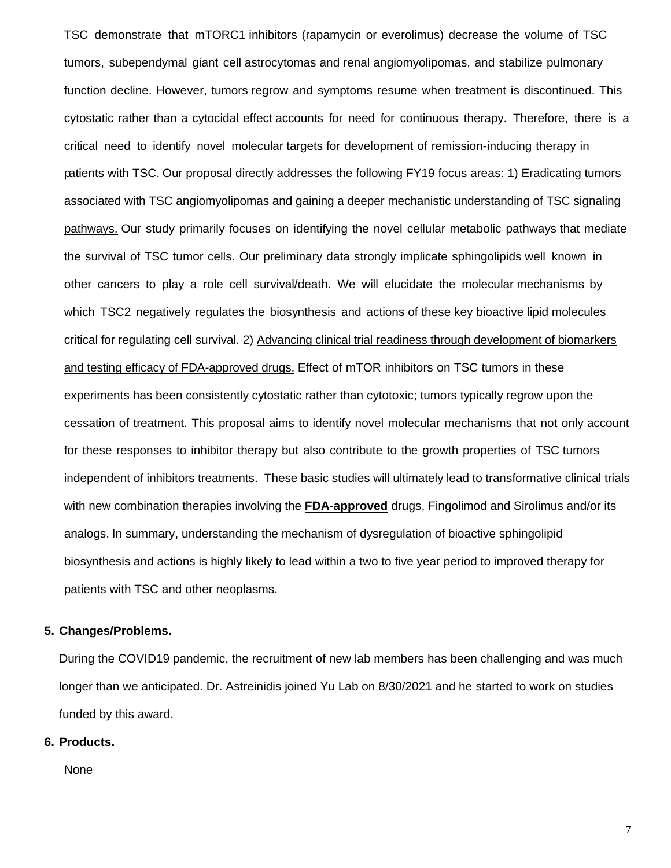TSC demonstrate that mTORC1 inhibitors (rapamycin or everolimus) decrease the volume of TSC tumors, subependymal giant cell astrocytomas and renal angiomyolipomas, and stabilize pulmonary function decline. However, tumors regrow and symptoms resume when treatment is discontinued. This cytostatic rather than a cytocidal effect accounts for need for continuous therapy. Therefore, there is a critical need to identify novel molecular targets for development of remission-inducing therapy in patients with TSC. Our proposal directly addresses the following FY19 focus areas: 1) Eradicating tumors associated with TSC angiomyolipomas and gaining a deeper mechanistic understanding of TSC signaling pathways. Our study primarily focuses on identifying the novel cellular metabolic pathways that mediate the survival of TSC tumor cells. Our preliminary data strongly implicate sphingolipids well known in other cancers to play a role cell survival/death. We will elucidate the molecular mechanisms by which TSC2 negatively regulates the biosynthesis and actions of these key bioactive lipid molecules critical for regulating cell survival. 2) Advancing clinical trial readiness through development of biomarkers and testing efficacy of FDA-approved drugs. Effect of mTOR inhibitors on TSC tumors in these experiments has been consistently cytostatic rather than cytotoxic; tumors typically regrow upon the cessation of treatment. This proposal aims to identify novel molecular mechanisms that not only account for these responses to inhibitor therapy but also contribute to the growth properties of TSC tumors independent of inhibitors treatments. These basic studies will ultimately lead to transformative clinical trials with new combination therapies involving the **FDA-approved** drugs, Fingolimod and Sirolimus and/or its analogs. In summary, understanding the mechanism of dysregulation of bioactive sphingolipid biosynthesis and actions is highly likely to lead within a two to five year period to improved therapy for patients with TSC and other neoplasms.

#### **5. Changes/Problems.**

During the COVID19 pandemic, the recruitment of new lab members has been challenging and was much longer than we anticipated. Dr. Astreinidis joined Yu Lab on 8/30/2021 and he started to work on studies funded by this award.

#### **6. Products.**

None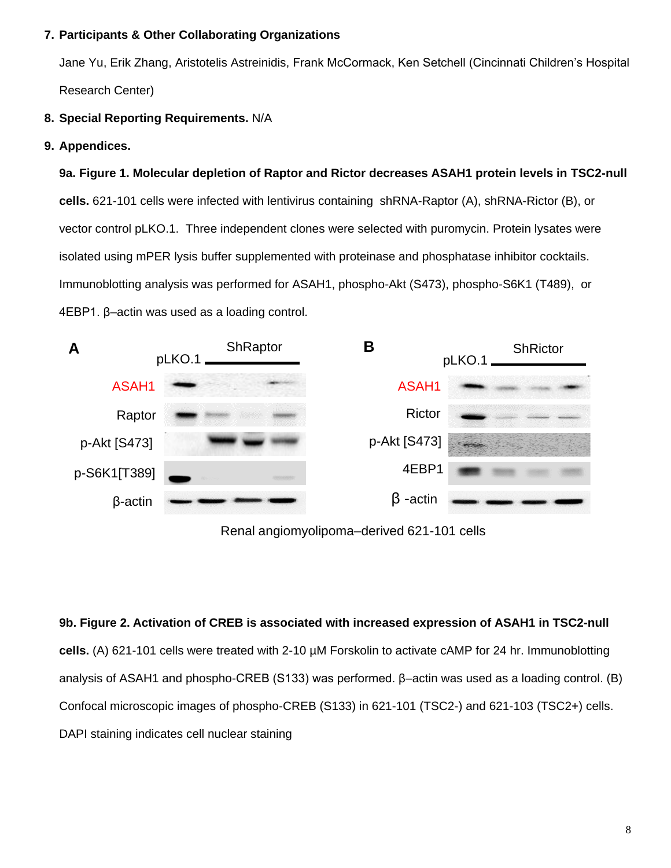### **7. Participants & Other Collaborating Organizations**

Jane Yu, Erik Zhang, Aristotelis Astreinidis, Frank McCormack, Ken Setchell (Cincinnati Children's Hospital Research Center)

## **8. Special Reporting Requirements.** N/A

**9. Appendices.**

**9a. Figure 1. Molecular depletion of Raptor and Rictor decreases ASAH1 protein levels in TSC2-null cells.** 621-101 cells were infected with lentivirus containing shRNA-Raptor (A), shRNA-Rictor (B), or vector control pLKO.1. Three independent clones were selected with puromycin. Protein lysates were isolated using mPER lysis buffer supplemented with proteinase and phosphatase inhibitor cocktails. Immunoblotting analysis was performed for ASAH1, phospho-Akt (S473), phospho-S6K1 (T489), or 4EBP1. β–actin was used as a loading control.



Renal angiomyolipoma–derived 621-101 cells

**9b. Figure 2. Activation of CREB is associated with increased expression of ASAH1 in TSC2-null cells.** (A) 621-101 cells were treated with 2-10 µM Forskolin to activate cAMP for 24 hr. Immunoblotting analysis of ASAH1 and phospho-CREB (S133) was performed. β–actin was used as a loading control. (B) Confocal microscopic images of phospho-CREB (S133) in 621-101 (TSC2-) and 621-103 (TSC2+) cells. DAPI staining indicates cell nuclear staining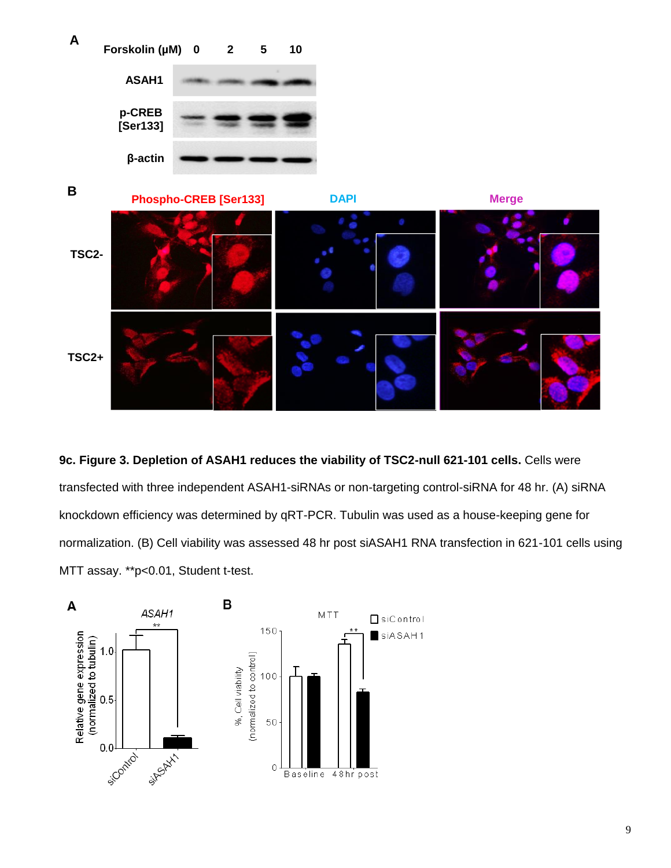

**9c. Figure 3. Depletion of ASAH1 reduces the viability of TSC2-null 621-101 cells.** Cells were transfected with three independent ASAH1-siRNAs or non-targeting control-siRNA for 48 hr. (A) siRNA knockdown efficiency was determined by qRT-PCR. Tubulin was used as a house-keeping gene for normalization. (B) Cell viability was assessed 48 hr post siASAH1 RNA transfection in 621-101 cells using MTT assay. \*\*p<0.01, Student t-test.

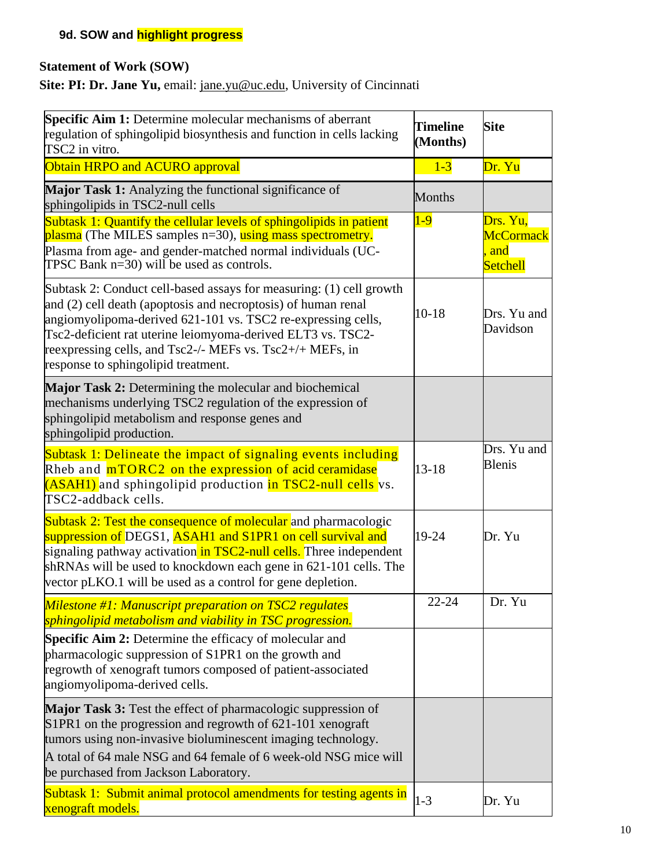# **9d. SOW and highlight progress**

# **Statement of Work (SOW)**

Site: PI: Dr. Jane Yu, email: [jane.yu@uc.edu,](mailto:jane.yu@uc.edu) University of Cincinnati

| <b>Specific Aim 1:</b> Determine molecular mechanisms of aberrant<br>regulation of sphingolipid biosynthesis and function in cells lacking<br>TSC2 in vitro.                                                                                                                                                                                                            | <b>Timeline</b><br>(Months) | <b>Site</b>                                     |
|-------------------------------------------------------------------------------------------------------------------------------------------------------------------------------------------------------------------------------------------------------------------------------------------------------------------------------------------------------------------------|-----------------------------|-------------------------------------------------|
| Obtain HRPO and ACURO approval                                                                                                                                                                                                                                                                                                                                          | $1-3$                       | Dr. Yu                                          |
| Major Task 1: Analyzing the functional significance of<br>sphingolipids in TSC2-null cells                                                                                                                                                                                                                                                                              | <b>Months</b>               |                                                 |
| Subtask 1: Quantify the cellular levels of sphingolipids in patient<br>plasma (The MILES samples n=30), using mass spectrometry.<br>Plasma from age- and gender-matched normal individuals (UC-<br>TPSC Bank $n=30$ ) will be used as controls.                                                                                                                         | $1-9$                       | Drs. Yu,<br>McCormack<br>and<br><b>Setchell</b> |
| Subtask 2: Conduct cell-based assays for measuring: (1) cell growth<br>and (2) cell death (apoptosis and necroptosis) of human renal<br>angiomyolipoma-derived 621-101 vs. TSC2 re-expressing cells,<br>Tsc2-deficient rat uterine leiomyoma-derived ELT3 vs. TSC2-<br>reexpressing cells, and Tsc2-/- MEFs vs. Tsc2+/+ MEFs, in<br>response to sphingolipid treatment. | $10 - 18$                   | Drs. Yu and<br>Davidson                         |
| Major Task 2: Determining the molecular and biochemical<br>mechanisms underlying TSC2 regulation of the expression of<br>sphingolipid metabolism and response genes and<br>sphingolipid production.                                                                                                                                                                     |                             |                                                 |
| Subtask 1: Delineate the impact of signaling events including<br>Rheb and mTORC2 on the expression of acid ceramidase<br>(ASAHI) and sphingolipid production in TSC2-null cells vs.<br>TSC2-addback cells.                                                                                                                                                              | $13 - 18$                   | Drs. Yu and<br><b>Blenis</b>                    |
| <b>Subtask 2: Test the consequence of molecular</b> and pharmacologic<br>suppression of DEGS1, ASAH1 and S1PR1 on cell survival and<br>signaling pathway activation in TSC2-null cells. Three independent<br>shRNAs will be used to knockdown each gene in 621-101 cells. The<br>vector pLKO.1 will be used as a control for gene depletion.                            | $19 - 24$                   | Dr. Yu                                          |
| Milestone $#1$ : Manuscript preparation on TSC2 regulates<br>sphingolipid metabolism and viability in TSC progression.                                                                                                                                                                                                                                                  | $22 - 24$                   | Dr. Yu                                          |
| <b>Specific Aim 2:</b> Determine the efficacy of molecular and<br>pharmacologic suppression of S1PR1 on the growth and<br>regrowth of xenograft tumors composed of patient-associated<br>angiomyolipoma-derived cells.                                                                                                                                                  |                             |                                                 |
| Major Task 3: Test the effect of pharmacologic suppression of<br>S1PR1 on the progression and regrowth of 621-101 xenograft<br>tumors using non-invasive bioluminescent imaging technology.<br>A total of 64 male NSG and 64 female of 6 week-old NSG mice will<br>be purchased from Jackson Laboratory.                                                                |                             |                                                 |
| Subtask 1: Submit animal protocol amendments for testing agents in<br>xenograft models.                                                                                                                                                                                                                                                                                 | $1 - 3$                     | Dr. Yu                                          |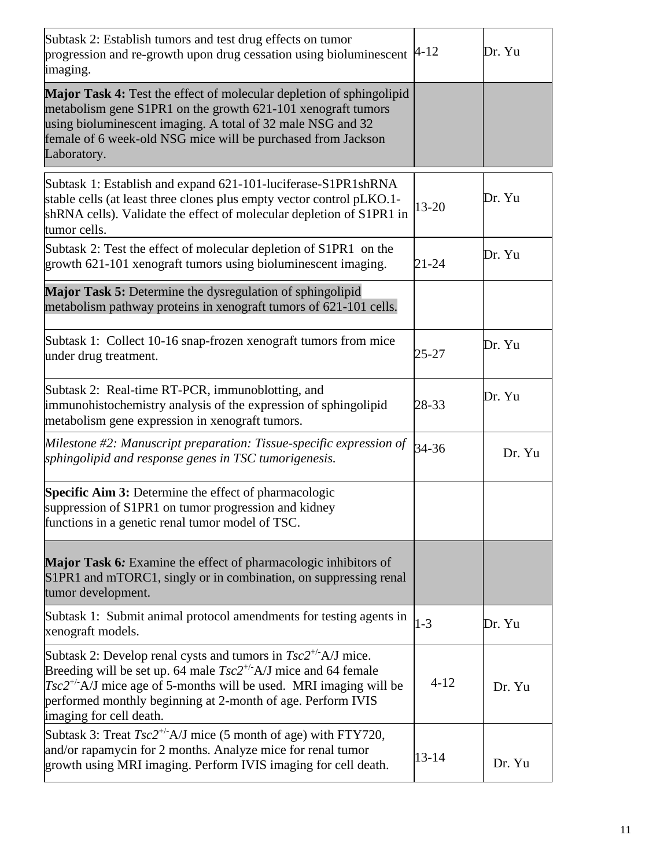| Subtask 2: Establish tumors and test drug effects on tumor<br>progression and re-growth upon drug cessation using bioluminescent<br>imaging.                                                                                                                                                                  | $4 - 12$  | Dr. Yu |
|---------------------------------------------------------------------------------------------------------------------------------------------------------------------------------------------------------------------------------------------------------------------------------------------------------------|-----------|--------|
| Major Task 4: Test the effect of molecular depletion of sphingolipid<br>metabolism gene S1PR1 on the growth 621-101 xenograft tumors<br>using bioluminescent imaging. A total of 32 male NSG and 32<br>female of 6 week-old NSG mice will be purchased from Jackson<br>Laboratory.                            |           |        |
| Subtask 1: Establish and expand 621-101-luciferase-S1PR1shRNA<br>stable cells (at least three clones plus empty vector control pLKO.1-<br>shRNA cells). Validate the effect of molecular depletion of S1PR1 in<br>tumor cells.                                                                                | 13-20     | Dr. Yu |
| Subtask 2: Test the effect of molecular depletion of S1PR1 on the<br>growth 621-101 xenograft tumors using bioluminescent imaging.                                                                                                                                                                            | $21 - 24$ | Dr. Yu |
| Major Task 5: Determine the dysregulation of sphingolipid<br>metabolism pathway proteins in xenograft tumors of 621-101 cells.                                                                                                                                                                                |           |        |
| Subtask 1: Collect 10-16 snap-frozen xenograft tumors from mice<br>under drug treatment.                                                                                                                                                                                                                      | $25 - 27$ | Dr. Yu |
| Subtask 2: Real-time RT-PCR, immunoblotting, and<br>immunohistochemistry analysis of the expression of sphingolipid<br>metabolism gene expression in xenograft tumors.                                                                                                                                        | 28-33     | Dr. Yu |
| Milestone #2: Manuscript preparation: Tissue-specific expression of<br>sphingolipid and response genes in TSC tumorigenesis.                                                                                                                                                                                  | 34-36     | Dr. Yu |
| <b>Specific Aim 3:</b> Determine the effect of pharmacologic<br>suppression of S1PR1 on tumor progression and kidney<br>functions in a genetic renal tumor model of TSC.                                                                                                                                      |           |        |
| Major Task 6: Examine the effect of pharmacologic inhibitors of<br>S1PR1 and mTORC1, singly or in combination, on suppressing renal<br>tumor development.                                                                                                                                                     |           |        |
| Subtask 1: Submit animal protocol amendments for testing agents in<br>xenograft models.                                                                                                                                                                                                                       | $1 - 3$   | Dr. Yu |
| Subtask 2: Develop renal cysts and tumors in $Tsc2^{+/}$ A/J mice.<br>Breeding will be set up. 64 male $Tsc2^{+/}$ A/J mice and 64 female<br>$Tsc2^{+/}$ A/J mice age of 5-months will be used. MRI imaging will be<br>performed monthly beginning at 2-month of age. Perform IVIS<br>imaging for cell death. | $4 - 12$  | Dr. Yu |
| Subtask 3: Treat $Tsc2^{+/}$ A/J mice (5 month of age) with FTY720,<br>and/or rapamycin for 2 months. Analyze mice for renal tumor<br>growth using MRI imaging. Perform IVIS imaging for cell death.                                                                                                          | $13 - 14$ | Dr. Yu |